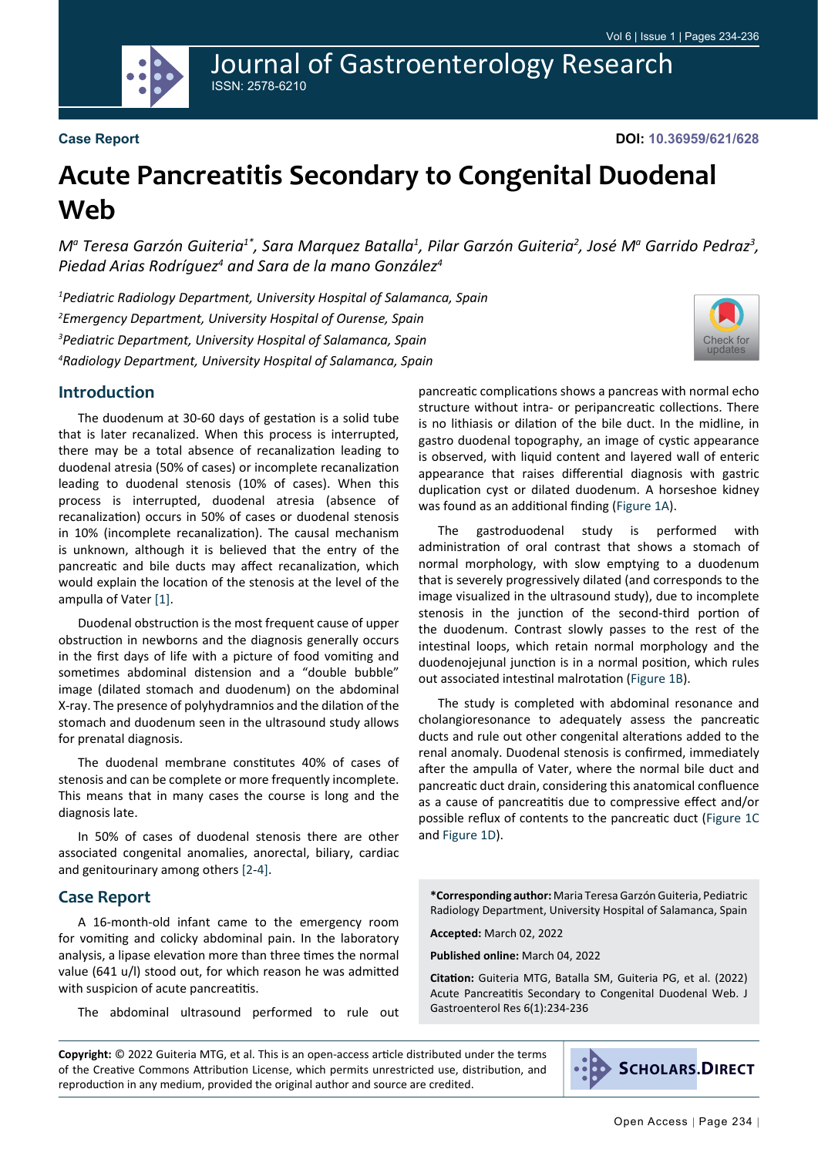

Journal of Gastroenterology Research ISSN: 2578-6210

#### **Case Report**

**DOI: 10.36959/621/628**

# **Acute Pancreatitis Secondary to Congenital Duodenal Web**

 $M^a$  Teresa Garzón Guiteria $^1$ , Sara Marquez Batalla $^1$ , Pilar Garzón Guiteria $^2$ , José M $^a$  Garrido Pedraz $^3$ , *Piedad Arias Rodríguez4 and Sara de la mano González4*

 *Pediatric Radiology Department, University Hospital of Salamanca, Spain Emergency Department, University Hospital of Ourense, Spain Pediatric Department, University Hospital of Salamanca, Spain Radiology Department, University Hospital of Salamanca, Spain*



#### **Introduction**

The duodenum at 30-60 days of gestation is a solid tube that is later recanalized. When this process is interrupted, there may be a total absence of recanalization leading to duodenal atresia (50% of cases) or incomplete recanalization leading to duodenal stenosis (10% of cases). When this process is interrupted, duodenal atresia (absence of recanalization) occurs in 50% of cases or duodenal stenosis in 10% (incomplete recanalization). The causal mechanism is unknown, although it is believed that the entry of the pancreatic and bile ducts may affect recanalization, which would explain the location of the stenosis at the level of the ampulla of Vater [[1\]](#page-2-0).

Duodenal obstruction is the most frequent cause of upper obstruction in newborns and the diagnosis generally occurs in the first days of life with a picture of food vomiting and sometimes abdominal distension and a "double bubble" image (dilated stomach and duodenum) on the abdominal X-ray. The presence of polyhydramnios and the dilation of the stomach and duodenum seen in the ultrasound study allows for prenatal diagnosis.

The duodenal membrane constitutes 40% of cases of stenosis and can be complete or more frequently incomplete. This means that in many cases the course is long and the diagnosis late.

In 50% of cases of duodenal stenosis there are other associated congenital anomalies, anorectal, biliary, cardiac and genitourinary among others [\[2](#page-2-1)-[4](#page-2-2)].

#### **Case Report**

A 16-month-old infant came to the emergency room for vomiting and colicky abdominal pain. In the laboratory analysis, a lipase elevation more than three times the normal value (641 u/l) stood out, for which reason he was admitted with suspicion of acute pancreatitis.

The abdominal ultrasound performed to rule out

pancreatic complications shows a pancreas with normal echo structure without intra- or peripancreatic collections. There is no lithiasis or dilation of the bile duct. In the midline, in gastro duodenal topography, an image of cystic appearance is observed, with liquid content and layered wall of enteric appearance that raises differential diagnosis with gastric duplication cyst or dilated duodenum. A horseshoe kidney was found as an additional finding ([Figure 1A](#page-1-0)).

The gastroduodenal study is performed with administration of oral contrast that shows a stomach of normal morphology, with slow emptying to a duodenum that is severely progressively dilated (and corresponds to the image visualized in the ultrasound study), due to incomplete stenosis in the junction of the second-third portion of the duodenum. Contrast slowly passes to the rest of the intestinal loops, which retain normal morphology and the duodenojejunal junction is in a normal position, which rules out associated intestinal malrotation [\(Figure 1B](#page-1-0)).

The study is completed with abdominal resonance and cholangioresonance to adequately assess the pancreatic ducts and rule out other congenital alterations added to the renal anomaly. Duodenal stenosis is confirmed, immediately after the ampulla of Vater, where the normal bile duct and pancreatic duct drain, considering this anatomical confluence as a cause of pancreatitis due to compressive effect and/or possible reflux of contents to the pancreatic duct [\(Figure 1C](#page-1-0) and [Figure 1D](#page-1-0)).

**\*Corresponding author:** Maria Teresa Garzón Guiteria, Pediatric Radiology Department, University Hospital of Salamanca, Spain

**Accepted:** March 02, 2022

**Published online:** March 04, 2022

**Citation:** Guiteria MTG, Batalla SM, Guiteria PG, et al. (2022) Acute Pancreatitis Secondary to Congenital Duodenal Web. J Gastroenterol Res 6(1):234-236

**Copyright:** © 2022 Guiteria MTG, et al. This is an open-access article distributed under the terms of the Creative Commons Attribution License, which permits unrestricted use, distribution, and reproduction in any medium, provided the original author and source are credited.

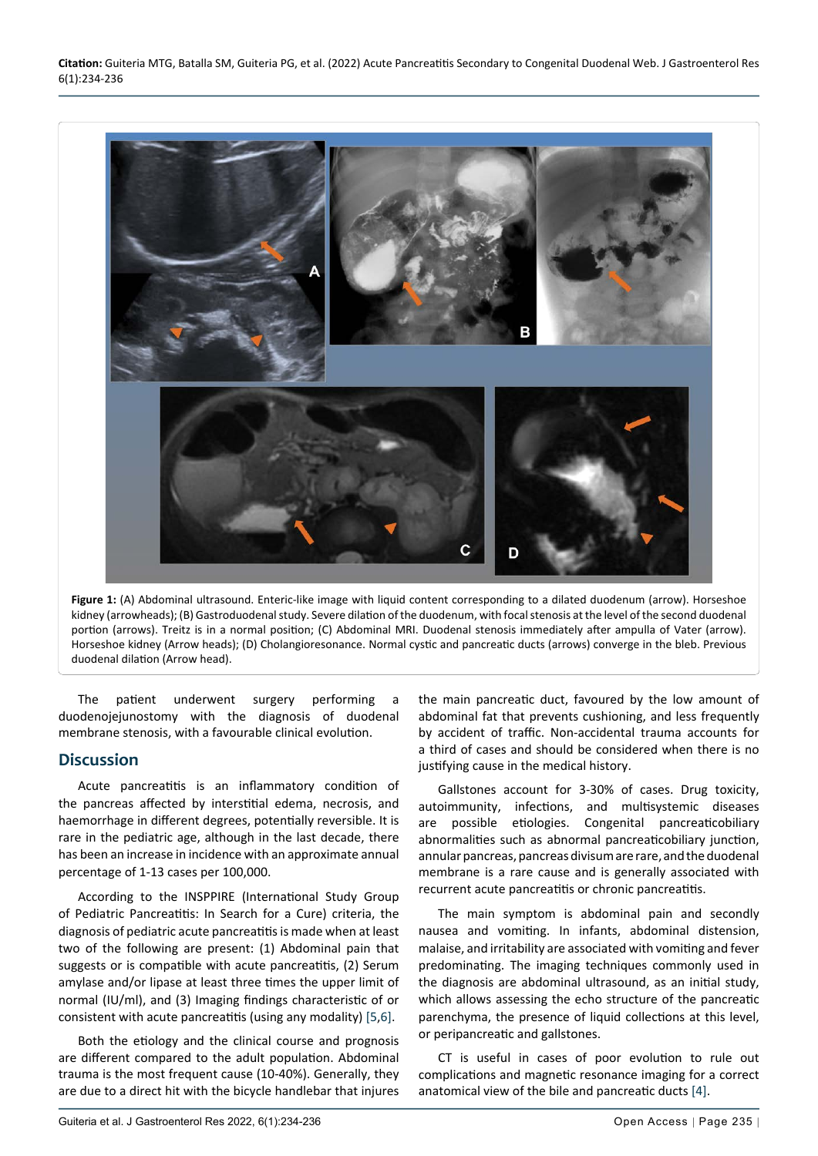<span id="page-1-0"></span>

**Figure 1:** (A) Abdominal ultrasound. Enteric-like image with liquid content corresponding to a dilated duodenum (arrow). Horseshoe kidney (arrowheads); (B) Gastroduodenal study. Severe dilation of the duodenum, with focal stenosis at the level of the second duodenal portion (arrows). Treitz is in a normal position; (C) Abdominal MRI. Duodenal stenosis immediately after ampulla of Vater (arrow). Horseshoe kidney (Arrow heads); (D) Cholangioresonance. Normal cystic and pancreatic ducts (arrows) converge in the bleb. Previous duodenal dilation (Arrow head).

The patient underwent surgery performing a duodenojejunostomy with the diagnosis of duodenal membrane stenosis, with a favourable clinical evolution.

## **Discussion**

Acute pancreatitis is an inflammatory condition of the pancreas affected by interstitial edema, necrosis, and haemorrhage in different degrees, potentially reversible. It is rare in the pediatric age, although in the last decade, there has been an increase in incidence with an approximate annual percentage of 1-13 cases per 100,000.

According to the INSPPIRE (International Study Group of Pediatric Pancreatitis: In Search for a Cure) criteria, the diagnosis of pediatric acute pancreatitis is made when at least two of the following are present: (1) Abdominal pain that suggests or is compatible with acute pancreatitis, (2) Serum amylase and/or lipase at least three times the upper limit of normal (IU/ml), and (3) Imaging findings characteristic of or consistent with acute pancreatitis (using any modality) [[5](#page-2-3),[6](#page-2-4)].

Both the etiology and the clinical course and prognosis are different compared to the adult population. Abdominal trauma is the most frequent cause (10-40%). Generally, they are due to a direct hit with the bicycle handlebar that injures

the main pancreatic duct, favoured by the low amount of abdominal fat that prevents cushioning, and less frequently by accident of traffic. Non-accidental trauma accounts for a third of cases and should be considered when there is no justifying cause in the medical history.

Gallstones account for 3-30% of cases. Drug toxicity, autoimmunity, infections, and multisystemic diseases are possible etiologies. Congenital pancreaticobiliary abnormalities such as abnormal pancreaticobiliary junction, annular pancreas, pancreas divisum are rare, and the duodenal membrane is a rare cause and is generally associated with recurrent acute pancreatitis or chronic pancreatitis.

The main symptom is abdominal pain and secondly nausea and vomiting. In infants, abdominal distension, malaise, and irritability are associated with vomiting and fever predominating. The imaging techniques commonly used in the diagnosis are abdominal ultrasound, as an initial study, which allows assessing the echo structure of the pancreatic parenchyma, the presence of liquid collections at this level, or peripancreatic and gallstones.

CT is useful in cases of poor evolution to rule out complications and magnetic resonance imaging for a correct anatomical view of the bile and pancreatic ducts [\[4\]](#page-2-2).